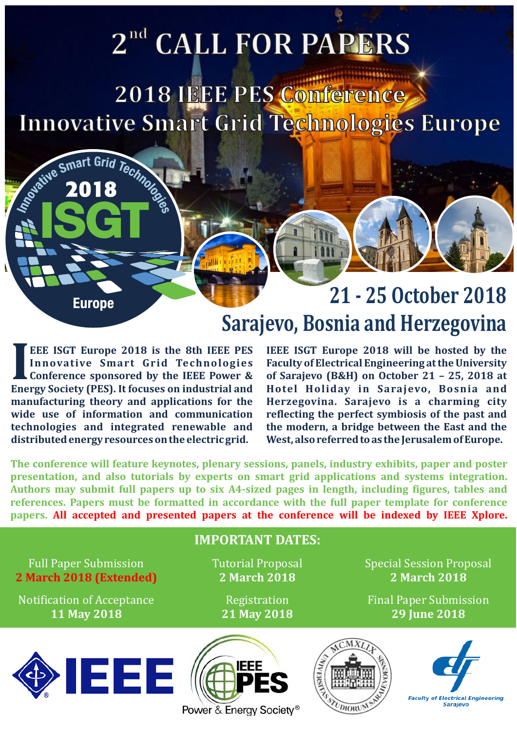# **nd 2 CALL FOR PAPERS**

**2018 IEEE PES Conference Innovative Smart Grid Technologies Europe**

**Europe** 

Seative Smart Grid Technology

### **21 - 25 October 2018 Sarajevo, Bosnia and Herzegovina**

**INSEE ISGT Europe 2018 is the 8th IEEE PES** IEEE ISGT Europe 2018 will be hosted by the Innovative Smart Grid Technologies Faculty of Electrical Engineering at the University Conference sponsored by the IEEE Power & of Sa **Energy Society (PES). It focuses on industrial and Hotel Holiday in Sarajevo, Bosnia and manufacturing theory and applications for the Herzegovina. Sarajevo is a charming city technologies and integrated renewable and the modern, a bridge between the East and the distributed energy resources on the electric grid. West, also referred to as the Jerusalem of Europe.**

**EEE ISGT Europe 2018 is the 8th IEEE PES IEEE ISGT Europe 2018 will be hosted by the**  reflecting the perfect symbiosis of the past and

**The conference will feature keynotes, plenary sessions, panels, industry exhibits, paper and poster presentation, and also tutorials by experts on smart grid applications and systems integration. Authors may submit full papers up to six A4-sized pages in length, including figures, tables and references. Papers must be formatted in accordance with the full paper template for conference papers. All accepted and presented papers at the conference will be indexed by IEEE Xplore.**

### **IMPORTANT DATES:** Full Paper Submission Tutorial Proposal Special Session Proposal **2 March 2018 (Extended) 2 March 2018 2 March 2018** Notification of Acceptance Registration Resolution Resolution Resolution Resolution Resolution Resolution Resolution **11 May 2018 21 May 2018 29 June 2018** IEEE **IEEE Faculty of Electrical Engineering** Sarajevo DIORU

Power & Energy Society®